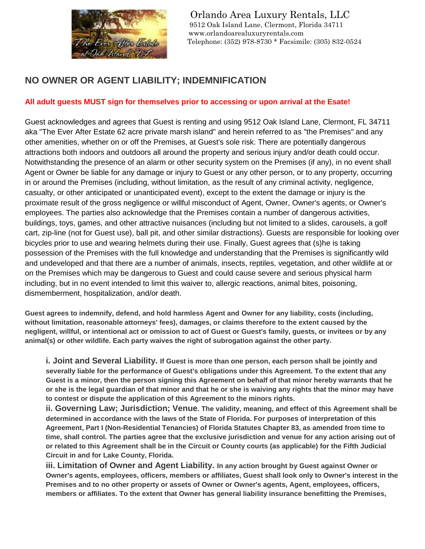

Orlando Area Luxury Rentals, LLC 9512 Oak Island Lane, Clermont, Florida 34711 www.orlandoarealuxuryrentals.com<br>
The Even After Estate Telephone: (352) 978-8730 \* Facsimi Telephone: (352) 978-8730 \* Facsimile: (305) 832-0524

## **NO OWNER OR AGENT LIABILITY; INDEMNIFICATION**

## **All adult guests MUST sign for themselves prior to accessing or upon arrival at the Esate!**

Guest acknowledges and agrees that Guest is renting and using 9512 Oak Island Lane, Clermont, FL 34711 aka "The Ever After Estate 62 acre private marsh island" and herein referred to as "the Premises" and any other amenities, whether on or off the Premises, at Guest's sole risk. There are potentially dangerous attractions both indoors and outdoors all around the property and serious injury and/or death could occur. Notwithstanding the presence of an alarm or other security system on the Premises (if any), in no event shall Agent or Owner be liable for any damage or injury to Guest or any other person, or to any property, occurring in or around the Premises (including, without limitation, as the result of any criminal activity, negligence, casualty, or other anticipated or unanticipated event), except to the extent the damage or injury is the proximate result of the gross negligence or willful misconduct of Agent, Owner, Owner's agents, or Owner's employees. The parties also acknowledge that the Premises contain a number of dangerous activities, buildings, toys, games, and other attractive nuisances (including but not limited to a slides, carousels, a golf cart, zip-line (not for Guest use), ball pit, and other similar distractions). Guests are responsible for looking over bicycles prior to use and wearing helmets during their use. Finally, Guest agrees that (s)he is taking possession of the Premises with the full knowledge and understanding that the Premises is significantly wild and undeveloped and that there are a number of animals, insects, reptiles, vegetation, and other wildlife at or on the Premises which may be dangerous to Guest and could cause severe and serious physical harm including, but in no event intended to limit this waiver to, allergic reactions, animal bites, poisoning, dismemberment, hospitalization, and/or death.

**Guest agrees to indemnify, defend, and hold harmless Agent and Owner for any liability, costs (including, without limitation, reasonable attorneys' fees), damages, or claims therefore to the extent caused by the negligent, willful, or intentional act or omission to act of Guest or Guest's family, guests, or invitees or by any animal(s) or other wildlife. Each party waives the right of subrogation against the other party.**

**i. Joint and Several Liability. If Guest is more than one person, each person shall be jointly and severally liable for the performance of Guest's obligations under this Agreement. To the extent that any Guest is a minor, then the person signing this Agreement on behalf of that minor hereby warrants that he or she is the legal guardian of that minor and that he or she is waiving any rights that the minor may have to contest or dispute the application of this Agreement to the minors rights.**

**ii. Governing Law; Jurisdiction; Venue. The validity, meaning, and effect of this Agreement shall be determined in accordance with the laws of the State of Florida. For purposes of interpretation of this Agreement, Part I (Non-Residential Tenancies) of Florida Statutes Chapter 83, as amended from time to time, shall control. The parties agree that the exclusive jurisdiction and venue for any action arising out of or related to this Agreement shall be in the Circuit or County courts (as applicable) for the Fifth Judicial Circuit in and for Lake County, Florida.**

**iii. Limitation of Owner and Agent Liability. In any action brought by Guest against Owner or Owner's agents, employees, officers, members or affiliates, Guest shall look only to Owner's interest in the Premises and to no other property or assets of Owner or Owner's agents, Agent, employees, officers, members or affiliates. To the extent that Owner has general liability insurance benefitting the Premises,**